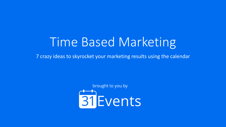### Time Based Marketing

7 crazy ideas to skyrocket your marketing results using the calendar

brought to you by**BI** Events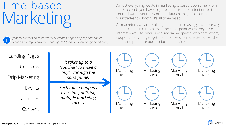### Time-based Marketing

*general conversion rates are ~1%, landing pages help top companies score an average conversion rate of 5%+ (Source: Searchengineland.com)* Almost everything we do in marketing is based upon time. From the 8 seconds you have to get your customer's attention, to the count-down to your new product launch, to getting someone to your tradeshow booth. It's all time-based.

As marketers, we are challenged to find increasingly inventive ways to interrupt our customers at the exact point when they have interest – we use email, social media, webpages, webinars, offers, coupons – anything to get them to take one more step down the path, and purchase our products or services.

| Landing Pages  |                                                              |                  |                  |                  |           |
|----------------|--------------------------------------------------------------|------------------|------------------|------------------|-----------|
| Coupons        | It takes up to 8<br>"touches" to move a<br>buyer through the | <b>Marketing</b> | Marketing        | <b>Marketing</b> | Marketing |
| Drip Marketing | sales funnel                                                 | Touch            | Touch            | Touch            | Touch     |
| <b>Events</b>  | Each touch happens<br>over time, utilizing                   |                  |                  |                  |           |
|                |                                                              |                  |                  |                  |           |
| Launches       | multiple marketing<br>tactics                                | <b>Marketing</b> | <b>Marketing</b> | <b>Marketing</b> | Marketing |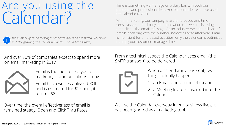### Are you using the Calendar?



*the number of email messages sent each day is an estimated 205 billion in 2015, growing at a 3% CAGR (Source: The Radicati Group)*

Time is something we manage on a daily basis, in both our personal and professional lives. And for centuries, we have used the calendar to do it.

Within marketing, our campaigns are time-based and time sensitive, yet the primary communication tool we use is a single time-slice – the email message. As an industry, we send billions of emails each day, with the number increasing year after year. Email is inefficient for time based activities, only the calendar is optimized to help your customers manage time.

And over 70% of companies expect to spend more on email marketing in 2017



Email is the most used type of marketing communications today.

Email has a well established ROI and is estimated for \$1 spent, it returns \$8

Over time, the overall effectiveness of email is remained steady, Open and Click Thru Rates

From a technical aspect, the Calendar uses email (the SMTP transport) to be delivered



When a calendar invite is sent, two things actually happen:

- 1. an Email lands in the Inbox and
- 2. a Meeting Invite is inserted into the Calendar

We use the Calendar everyday in our business lives, it has been ignored as a marketing tool.

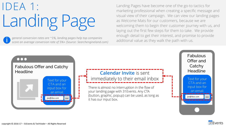### IDEA 1: Landing Page

general conversion rates are ~1%, landing pages help top companies<br>score an average conversion rate of 5%+ (Source: Searchengineland com) additional value as they walk the path with us. *score an average conversion rate of 5%+ (Source: Searchengineland.com)*

Landing Pages have become one of the go-to tactics for marketing professional when creating a specific message and visual view of their campaign. We can view our landing pages as Welcome Mats for our customers, because we are welcoming them to begin their customer journey with us, and laying out the first few steps for them to take. We provide enough detail to get their interest, and promise to provide



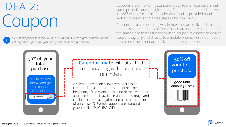### IDEA 2: Coupon

*51% of shoppers said they wished all coupons were digital (Source: Inmar) yet, digital coupons are just 3% of coupon spend (Catalina)*

Coupons are a marketing standard today to motivate buyers with some price discount or price offer. The first documented use was in 1887 when Coca-Cola founder Asa Candler provided hand written notes offering a free glass of his new drink.

Coupons have come a long way in how they are delivered, although the message and the use of "time" to create urgency has remained the same since that first hand written coupon. We now can deliver coupons digitally and directly to a mobile phone. Here's our idea on how to use the calendar to drive that message home.



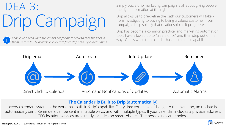## IDEA 3: Drip Campaign

people who read your drip emails are far more likely to click the links in *people who read your drip emails are far more likely to click the links in way.* Guess what, the calendar has built-in drip capabilities. *them, with a 119% increase in click rate from drip emails (Source: Emma)*

Simply put, a drip marketing campaign is all about giving people the right information at the right time.

Drip allows us to pre-define the path our customers will take – from investigating to buying to being a valued customer – our campaigns help solidify that relationship as it progresses.

Drip has become a common practice, and marketing automation tools have allowed up to "create once" and then step out of the



#### **The Calendar is Built to Drip (automatically)**

every calendar system in the world has built-in "drip" capability. Every time you make a change to the Invitation, an update is automatically sent. Reminders can be sent in multiple ways, and with multiple types. If your calendar includes a physical address, GEO location services are already includes on smart phones. The possibilities are endless.

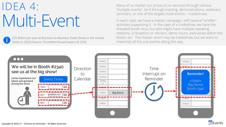### IDEA 4: Multi-Event

*\$25 Billion per year at Business-to-Business Trade Shows in the United States in 2014 (Source: PriceWaterhouseCoopers & CEIR)*

Many of us market our products or services through various "multiple events", be it through training, demonstrations, webinars, seminars, or one of the largest multi-events – tradeshows.

In each case, we have a master campaign, with several "smaller" activities supporting it. In the case of a tradeshow, we have the dreaded booth duty, but also might have multiple speaking sessions, a reception or dinners, demo hours, executives within the booth, etc. The master event may be tradeshow, but we want to maximize all the sub-events along the way.

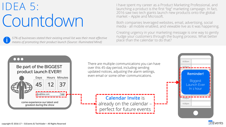### IDEA 5: Countdown

place than the calendar to do that? *57% of businesses stated their existing email list was their most effective means of promoting their product launch (Source: Illuminated Mind)*

I have spent my career as a Product Marketing Professional, and launching a product is the first "big" marketing campaign. In fact, 2016 saw two tech giants launch new products onto the global market – Apple and Microsoft.

Both companies leveraged websites, email, advertising, social media - all mobile enabled, and viewable live as it was happening.

Creating urgency in your marketing message is one way to gently nudge your customers through the buying process. What better

![](_page_7_Figure_5.jpeg)

![](_page_7_Picture_6.jpeg)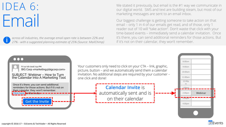### IDEA 6: Email

*across all industries, the average email open rate is between 22% and 27% - with a suggested planning estimate of 25% (Source: MailChimp)* We stated it previously, but email is the #1 way we communicate in our digital world. SMS and text are building steam, but most of our marketing messages are sent to an email inbox.

Our biggest challenge is getting someone to take action on that email – only 1 in 4 of our emails get read, and of those, only 1 reader out of 10 will "take action". Don't waste that click with your time-based events – immediately send a calendar invitation. Once it's there, you can send additional reminders for those actions. But if it's not on their calendar, they won't remember.

#### $\bullet$  $\bullet$  $\bullet$

![](_page_8_Picture_5.jpeg)

Your customers only need to click on your CTA – link, graphic, picture, button – and we automatically send them a calendar invitation. No additional steps are required by your customer – one click and done!

> **Calendar Invite** is automatically sent and is on their calendar

![](_page_8_Picture_8.jpeg)

![](_page_8_Picture_9.jpeg)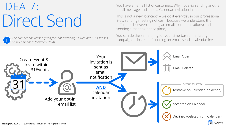### IDEA 7: Direct Send

*on my Calendar" (Source: ON24)*

You have an email list of customers. Why not skip sending another email message and send a Calendar Invitation instead.

This is not a new "concept" – we do it everyday in our professional lives, sending meeting notices – because we understand the difference between sending an email (communications) and sending a meeting notice (time).

You can do the same thing for your time-based marketing The number one reason given for "not attending" a webinar is: "It Wasn't campaigns – instead of sending an email, send a calendar invite.

![](_page_9_Figure_5.jpeg)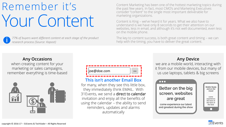### Remember it's Your Content

*77% of buyers want different content at each stage of the product research process (Source: Kapost)*

Content Marketing has been one of the hottest marketing topics during the past few years. In fact, most CMO's and Marketing Executives consider "content" to the single most important deliverable for marketing organizations.

Content is King – we've heard it for years. What we also have to understand is we have only 8 seconds to get their attention on our websites, less in email, and although it's not well documented, even less on the mobile phone.

The key to content success, is both great content and timing – we can help with the timing, you have to deliver the great content.

#### **Any Occasions**

when creating content for your marketing or sales campaigns, remember everything is time-based

![](_page_10_Picture_7.jpeg)

| ioe@doe.com | <b>SFND</b> |
|-------------|-------------|
|             |             |

#### **This isn't another Email Box**

for many, when they see this little box, they immediately think EMAIL. With 31Events, we send a direct to calendar invitation and enjoy all the benefits of using the calendar – the ability to send reminders, updates and alarms automatically

#### **Any Device**

we are a mobile world, interacting with it from our mobile devices, but many of us use laptops, tablets & big screens

![](_page_10_Picture_13.jpeg)

![](_page_10_Picture_14.jpeg)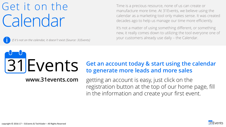### Get it on the Calendar

Time is a precious resource, none of us can create or manufacture more time. At 31Events, we believe using the calendar as a marketing tool only makes sense. It was created decades ago to help us manage our time more efficiently.

It's not a matter of using something different, or something new, it really comes down to utilizing the tool everyone one of your customers already use daily – the Calendar. *If it's not on the calendar, it doesn't exist (Source: 31Events)*

# 31 Events

**www.31events.com**

### **Get an account today & start using the calendar to generate more leads and more sales**

getting an account is easy, just click on the registration button at the top of our home page, fill in the information and create your first event.

![](_page_11_Picture_8.jpeg)